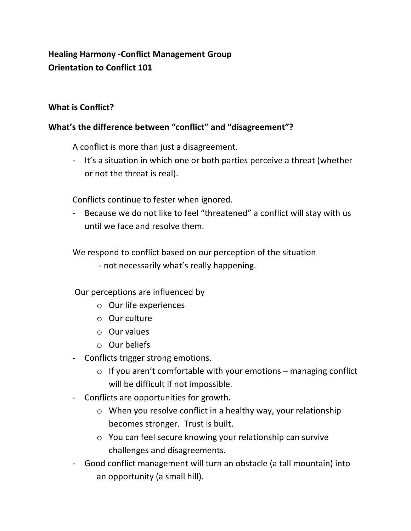# **Healing Harmony -Conflict Management Group Orientation to Conflict 101**

## **What is Conflict?**

## **What's the difference between "conflict" and "disagreement"?**

A conflict is more than just a disagreement.

- It's a situation in which one or both parties perceive a threat (whether or not the threat is real).

Conflicts continue to fester when ignored.

- Because we do not like to feel "threatened" a conflict will stay with us until we face and resolve them.

We respond to conflict based on our perception of the situation

- not necessarily what's really happening.

Our perceptions are influenced by

- o Our life experiences
- o Our culture
- o Our values
- o Our beliefs
- Conflicts trigger strong emotions.
	- $\circ$  If you aren't comfortable with your emotions managing conflict will be difficult if not impossible.
- Conflicts are opportunities for growth.
	- o When you resolve conflict in a healthy way, your relationship becomes stronger. Trust is built.
	- o You can feel secure knowing your relationship can survive challenges and disagreements.
- Good conflict management will turn an obstacle (a tall mountain) into an opportunity (a small hill).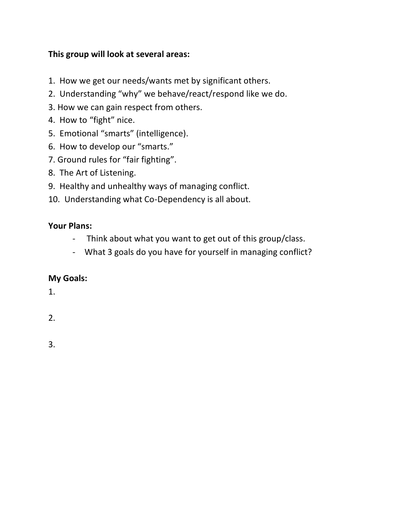## **This group will look at several areas:**

- 1. How we get our needs/wants met by significant others.
- 2. Understanding "why" we behave/react/respond like we do.
- 3. How we can gain respect from others.
- 4. How to "fight" nice.
- 5. Emotional "smarts" (intelligence).
- 6. How to develop our "smarts."
- 7. Ground rules for "fair fighting".
- 8. The Art of Listening.
- 9. Healthy and unhealthy ways of managing conflict.
- 10. Understanding what Co-Dependency is all about.

## **Your Plans:**

- Think about what you want to get out of this group/class.
- What 3 goals do you have for yourself in managing conflict?

## **My Goals:**

1.

2.

3.